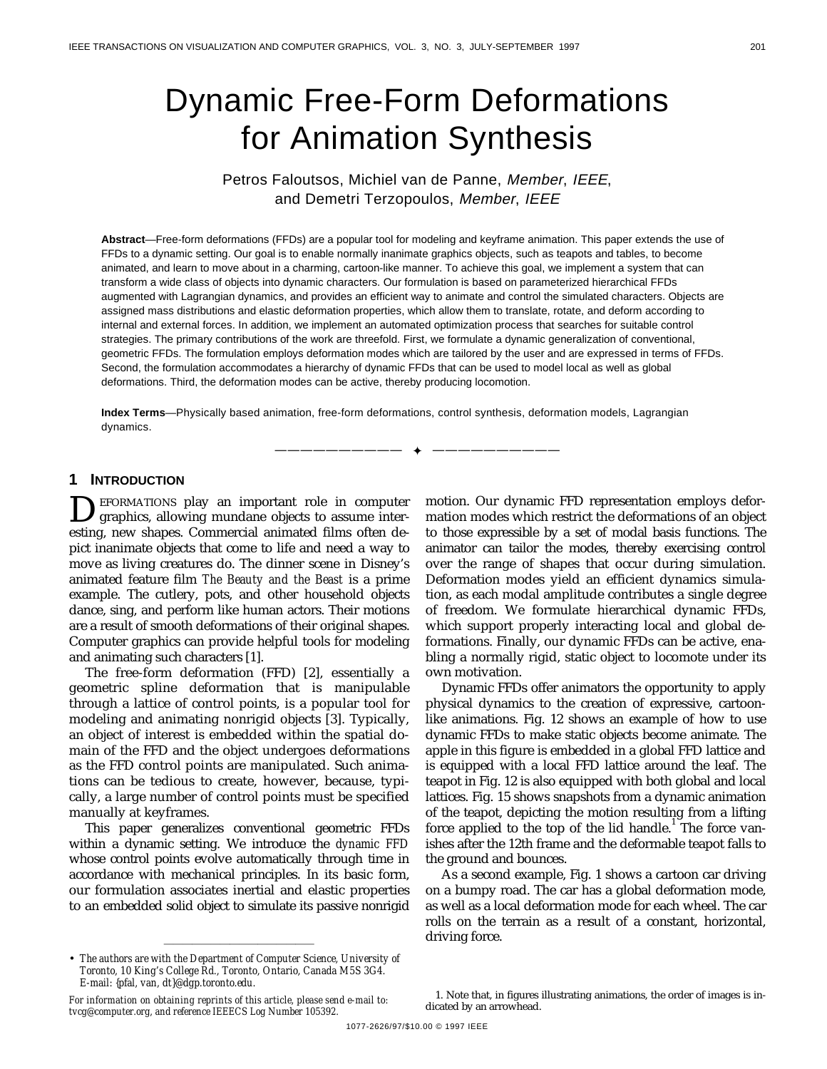# Dynamic Free-Form Deformations for Animation Synthesis

Petros Faloutsos, Michiel van de Panne, Member, IEEE, and Demetri Terzopoulos, Member, IEEE

**Abstract**—Free-form deformations (FFDs) are a popular tool for modeling and keyframe animation. This paper extends the use of FFDs to a dynamic setting. Our goal is to enable normally inanimate graphics objects, such as teapots and tables, to become animated, and learn to move about in a charming, cartoon-like manner. To achieve this goal, we implement a system that can transform a wide class of objects into dynamic characters. Our formulation is based on parameterized hierarchical FFDs augmented with Lagrangian dynamics, and provides an efficient way to animate and control the simulated characters. Objects are assigned mass distributions and elastic deformation properties, which allow them to translate, rotate, and deform according to internal and external forces. In addition, we implement an automated optimization process that searches for suitable control strategies. The primary contributions of the work are threefold. First, we formulate a dynamic generalization of conventional, geometric FFDs. The formulation employs deformation modes which are tailored by the user and are expressed in terms of FFDs. Second, the formulation accommodates a hierarchy of dynamic FFDs that can be used to model local as well as global deformations. Third, the deformation modes can be active, thereby producing locomotion.

**Index Terms**—Physically based animation, free-form deformations, control synthesis, deformation models, Lagrangian dynamics.

—————————— ✦ ——————————

#### **1 INTRODUCTION**

EFORMATIONS play an important role in computer graphics, allowing mundane objects to assume inter-**E**FORMATIONS play an important role in computer graphics, allowing mundane objects to assume interesting, new shapes. Commercial animated films often depict inanimate objects that come to life and need a way to move as living creatures do. The dinner scene in Disney's animated feature film *The Beauty and the Beast* is a prime example. The cutlery, pots, and other household objects dance, sing, and perform like human actors. Their motions are a result of smooth deformations of their original shapes. Computer graphics can provide helpful tools for modeling and animating such characters [1].

The free-form deformation (FFD) [2], essentially a geometric spline deformation that is manipulable through a lattice of control points, is a popular tool for modeling and animating nonrigid objects [3]. Typically, an object of interest is embedded within the spatial domain of the FFD and the object undergoes deformations as the FFD control points are manipulated. Such animations can be tedious to create, however, because, typically, a large number of control points must be specified manually at keyframes.

This paper generalizes conventional geometric FFDs within a dynamic setting. We introduce the *dynamic FFD* whose control points evolve automatically through time in accordance with mechanical principles. In its basic form, our formulation associates inertial and elastic properties to an embedded solid object to simulate its passive nonrigid

————————————————

*For information on obtaining reprints of this article, please send e-mail to: tvcg@computer.org, and reference IEEECS Log Number 105392.*

motion. Our dynamic FFD representation employs deformation modes which restrict the deformations of an object to those expressible by a set of modal basis functions. The animator can tailor the modes, thereby exercising control over the range of shapes that occur during simulation. Deformation modes yield an efficient dynamics simulation, as each modal amplitude contributes a single degree of freedom. We formulate hierarchical dynamic FFDs, which support properly interacting local and global deformations. Finally, our dynamic FFDs can be active, enabling a normally rigid, static object to locomote under its own motivation.

Dynamic FFDs offer animators the opportunity to apply physical dynamics to the creation of expressive, cartoonlike animations. Fig. 12 shows an example of how to use dynamic FFDs to make static objects become animate. The apple in this figure is embedded in a global FFD lattice and is equipped with a local FFD lattice around the leaf. The teapot in Fig. 12 is also equipped with both global and local lattices. Fig. 15 shows snapshots from a dynamic animation of the teapot, depicting the motion resulting from a lifting force applied to the top of the lid handle.<sup>1</sup> The force vanishes after the 12th frame and the deformable teapot falls to the ground and bounces.

As a second example, Fig. 1 shows a cartoon car driving on a bumpy road. The car has a global deformation mode, as well as a local deformation mode for each wheel. The car rolls on the terrain as a result of a constant, horizontal, driving force.

<sup>•</sup> *The authors are with the Department of Computer Science, University of Toronto, 10 King's College Rd., Toronto, Ontario, Canada M5S 3G4. E-mail: {pfal, van, dt}@dgp.toronto.edu.*

<sup>1.</sup> Note that, in figures illustrating animations, the order of images is indicated by an arrowhead.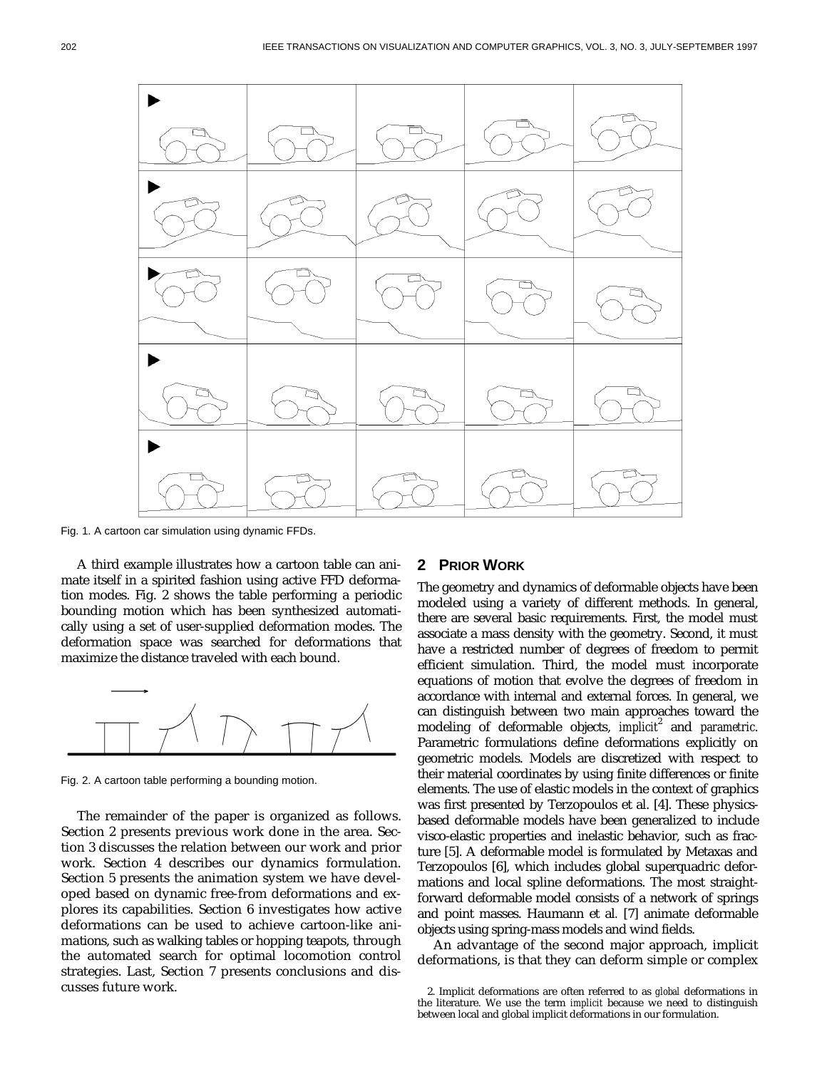

Fig. 1. A cartoon car simulation using dynamic FFDs.

A third example illustrates how a cartoon table can animate itself in a spirited fashion using active FFD deformation modes. Fig. 2 shows the table performing a periodic bounding motion which has been synthesized automatically using a set of user-supplied deformation modes. The deformation space was searched for deformations that maximize the distance traveled with each bound.



Fig. 2. A cartoon table performing a bounding motion.

The remainder of the paper is organized as follows. Section 2 presents previous work done in the area. Section 3 discusses the relation between our work and prior work. Section 4 describes our dynamics formulation. Section 5 presents the animation system we have developed based on dynamic free-from deformations and explores its capabilities. Section 6 investigates how active deformations can be used to achieve cartoon-like animations, such as walking tables or hopping teapots, through the automated search for optimal locomotion control strategies. Last, Section 7 presents conclusions and discusses future work.

# **2 PRIOR WORK**

The geometry and dynamics of deformable objects have been modeled using a variety of different methods. In general, there are several basic requirements. First, the model must associate a mass density with the geometry. Second, it must have a restricted number of degrees of freedom to permit efficient simulation. Third, the model must incorporate equations of motion that evolve the degrees of freedom in accordance with internal and external forces. In general, we can distinguish between two main approaches toward the modeling of deformable objects, *implicit*<sup>2</sup> and *parametric*. Parametric formulations define deformations explicitly on geometric models. Models are discretized with respect to their material coordinates by using finite differences or finite elements. The use of elastic models in the context of graphics was first presented by Terzopoulos et al. [4]. These physicsbased deformable models have been generalized to include visco-elastic properties and inelastic behavior, such as fracture [5]. A deformable model is formulated by Metaxas and Terzopoulos [6], which includes global superquadric deformations and local spline deformations. The most straightforward deformable model consists of a network of springs and point masses. Haumann et al*.* [7] animate deformable objects using spring-mass models and wind fields.

An advantage of the second major approach, implicit deformations, is that they can deform simple or complex

<sup>2.</sup> Implicit deformations are often referred to as *global* deformations in the literature. We use the term *implicit* because we need to distinguish between local and global implicit deformations in our formulation.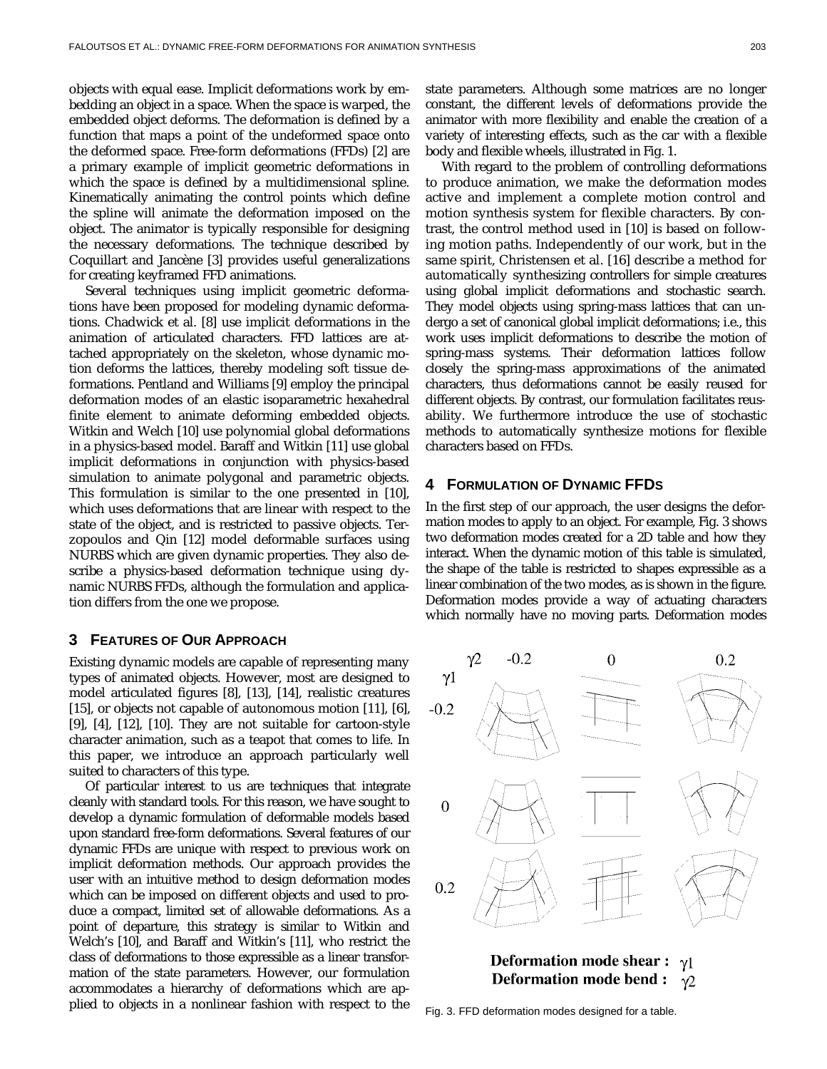objects with equal ease. Implicit deformations work by embedding an object in a space. When the space is warped, the embedded object deforms. The deformation is defined by a function that maps a point of the undeformed space onto the deformed space. Free-form deformations (FFDs) [2] are a primary example of implicit geometric deformations in which the space is defined by a multidimensional spline. Kinematically animating the control points which define the spline will animate the deformation imposed on the object. The animator is typically responsible for designing the necessary deformations. The technique described by Coquillart and Jancène [3] provides useful generalizations for creating keyframed FFD animations.

Several techniques using implicit geometric deformations have been proposed for modeling dynamic deformations. Chadwick et al. [8] use implicit deformations in the animation of articulated characters. FFD lattices are attached appropriately on the skeleton, whose dynamic motion deforms the lattices, thereby modeling soft tissue deformations. Pentland and Williams [9] employ the principal deformation modes of an elastic isoparametric hexahedral finite element to animate deforming embedded objects. Witkin and Welch [10] use polynomial global deformations in a physics-based model. Baraff and Witkin [11] use global implicit deformations in conjunction with physics-based simulation to animate polygonal and parametric objects. This formulation is similar to the one presented in [10], which uses deformations that are linear with respect to the state of the object, and is restricted to passive objects. Terzopoulos and Qin [12] model deformable surfaces using NURBS which are given dynamic properties. They also describe a physics-based deformation technique using dynamic NURBS FFDs, although the formulation and application differs from the one we propose.

# **3 FEATURES OF OUR APPROACH**

Existing dynamic models are capable of representing many types of animated objects. However, most are designed to model articulated figures [8], [13], [14], realistic creatures [15], or objects not capable of autonomous motion [11], [6], [9], [4], [12], [10]. They are not suitable for cartoon-style character animation, such as a teapot that comes to life. In this paper, we introduce an approach particularly well suited to characters of this type.

Of particular interest to us are techniques that integrate cleanly with standard tools. For this reason, we have sought to develop a dynamic formulation of deformable models based upon standard free-form deformations. Several features of our dynamic FFDs are unique with respect to previous work on implicit deformation methods. Our approach provides the user with an intuitive method to design deformation modes which can be imposed on different objects and used to produce a compact, limited set of allowable deformations. As a point of departure, this strategy is similar to Witkin and Welch's [10], and Baraff and Witkin's [11], who restrict the class of deformations to those expressible as a linear transformation of the state parameters. However, our formulation accommodates a hierarchy of deformations which are applied to objects in a nonlinear fashion with respect to the state parameters. Although some matrices are no longer constant, the different levels of deformations provide the animator with more flexibility and enable the creation of a variety of interesting effects, such as the car with a flexible body and flexible wheels, illustrated in Fig. 1.

With regard to the problem of controlling deformations to produce animation, we make the deformation modes active and implement a complete motion control and motion synthesis system for flexible characters. By contrast, the control method used in [10] is based on following motion paths. Independently of our work, but in the same spirit, Christensen et al. [16] describe a method for automatically synthesizing controllers for simple creatures using global implicit deformations and stochastic search. They model objects using spring-mass lattices that can undergo a set of canonical global implicit deformations; i.e., this work uses implicit deformations to describe the motion of spring-mass systems. Their deformation lattices follow closely the spring-mass approximations of the animated characters, thus deformations cannot be easily reused for different objects. By contrast, our formulation facilitates reusability. We furthermore introduce the use of stochastic methods to automatically synthesize motions for flexible characters based on FFDs.

# **4 FORMULATION OF DYNAMIC FFDS**

In the first step of our approach, the user designs the deformation modes to apply to an object. For example, Fig. 3 shows two deformation modes created for a 2D table and how they interact. When the dynamic motion of this table is simulated, the shape of the table is restricted to shapes expressible as a linear combination of the two modes, as is shown in the figure. Deformation modes provide a way of actuating characters which normally have no moving parts. Deformation modes



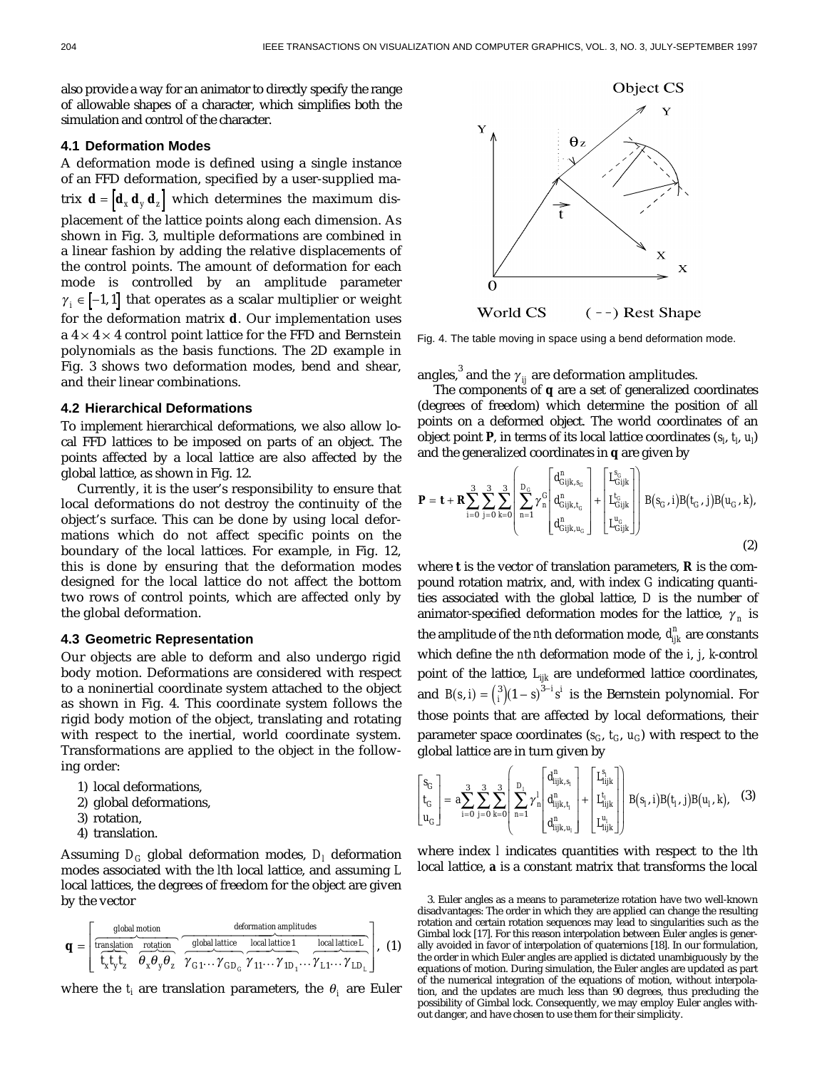also provide a way for an animator to directly specify the range of allowable shapes of a character, which simplifies both the simulation and control of the character.

#### **4.1 Deformation Modes**

A deformation mode is defined using a single instance of an FFD deformation, specified by a user-supplied matrix  $\mathbf{d} = \begin{bmatrix} \mathbf{d}_x \, \mathbf{d}_y \, \mathbf{d}_z \end{bmatrix}$  which determines the maximum displacement of the lattice points along each dimension. As shown in Fig. 3, multiple deformations are combined in a linear fashion by adding the relative displacements of the control points. The amount of deformation for each mode is controlled by an amplitude parameter  $\gamma_i \in [-1, 1]$  that operates as a scalar multiplier or weight for the deformation matrix **d**. Our implementation uses a  $4 \times 4 \times 4$  control point lattice for the FFD and Bernstein polynomials as the basis functions. The 2D example in Fig. 3 shows two deformation modes, bend and shear, and their linear combinations.

### **4.2 Hierarchical Deformations**

To implement hierarchical deformations, we also allow local FFD lattices to be imposed on parts of an object. The points affected by a local lattice are also affected by the global lattice, as shown in Fig. 12.

Currently, it is the user's responsibility to ensure that local deformations do not destroy the continuity of the object's surface. This can be done by using local deformations which do not affect specific points on the boundary of the local lattices. For example, in Fig. 12, this is done by ensuring that the deformation modes designed for the local lattice do not affect the bottom two rows of control points, which are affected only by the global deformation.

### **4.3 Geometric Representation**

Our objects are able to deform and also undergo rigid body motion. Deformations are considered with respect to a noninertial coordinate system attached to the object as shown in Fig. 4. This coordinate system follows the rigid body motion of the object, translating and rotating with respect to the inertial, world coordinate system. Transformations are applied to the object in the following order:

- 1) local deformations,
- 2) global deformations,
- 3) rotation,
- 4) translation.

Assuming *DG* global deformation modes, *Dl* deformation modes associated with the *l*th local lattice, and assuming *L* local lattices, the degrees of freedom for the object are given by the vector

$$
\mathbf{q} = \begin{bmatrix} \frac{\text{global motion}}{\text{translation} \cdot \text{rotation}} & \frac{\text{deformation amplitudes}}{\text{total lattice L}} \\ \frac{\text{translation}}{\text{t}_{x} \text{t}_{y} \text{t}_{z}} & \frac{\text{total lattice}}{\theta_{x} \theta_{y} \theta_{z}} & \frac{\text{global lattice L}}{\gamma_{G1} \cdots \gamma_{GD_{G}}} \frac{\text{local lattice L}}{\gamma_{11} \cdots \gamma_{LD_{1}} \cdots \gamma_{L1} \cdots \gamma_{LD_{L}}} \end{bmatrix}, (1)
$$

where the  $t_i$  are translation parameters, the  $\theta_i$  are Euler

Object CS Y  $\theta$ z  $\mathbf t$ Х World CS  $(--)$  Rest Shape

Fig. 4. The table moving in space using a bend deformation mode.

angles, $^3$  and the  $\gamma_{\,ij}$  are deformation amplitudes.

The components of **q** are a set of generalized coordinates (degrees of freedom) which determine the position of all points on a deformed object. The world coordinates of an object point **P**, in terms of its local lattice coordinates  $(s_h t_h u)$ and the generalized coordinates in **q** are given by

$$
\mathbf{P} = \mathbf{t} + \mathbf{R} \sum_{i=0}^{3} \sum_{j=0}^{3} \sum_{k=0}^{3} \left( \sum_{n=1}^{D_G} \gamma_n^{G} \begin{bmatrix} d_{Gijk,c_G}^n \\ d_{Gijk,t_G}^n \\ d_{Gijk,u_G}^n \end{bmatrix} + \begin{bmatrix} I_{Gijk}^c \\ L_{Gijk}^t \\ L_{Gijk}^u \end{bmatrix} \right) B(s_G, i) B(t_G, j) B(u_G, k), \tag{2}
$$

where **t** is the vector of translation parameters, **R** is the compound rotation matrix, and, with index *G* indicating quantities associated with the global lattice, *D* is the number of animator-specified deformation modes for the lattice,  $\gamma_n$  is the amplitude of the *n*th deformation mode,  $d_{ijk}^n$  are constants which define the *n*th deformation mode of the *i*, *j*, *k*-control point of the lattice, *Lijk* are undeformed lattice coordinates, and  $B(s, i) = {3 \choose i} (1-s)^{3-i} s^i$  is the Bernstein polynomial. For those points that are affected by local deformations, their parameter space coordinates  $(s_G, t_G, u_G)$  with respect to the global lattice are in turn given by

$$
\begin{bmatrix} s_G \\ t_G \\ u_G \end{bmatrix} = a \sum_{i=0}^3 \sum_{j=0}^3 \sum_{k=0}^3 \left( \sum_{n=1}^{D_i} \gamma_n^{j} \begin{bmatrix} d_{lijk,s_i}^n \\ d_{lijk,t_i}^n \\ d_{lijk,u_i}^n \end{bmatrix} + \begin{bmatrix} L_{lijk}^s \\ L_{lijk}^t \\ L_{lijk}^u \end{bmatrix} \right) B(s_i, i) B(t_i, j) B(u_i, k), \quad (3)
$$

where index *l* indicates quantities with respect to the *l*th local lattice, **a** is a constant matrix that transforms the local

<sup>3.</sup> Euler angles as a means to parameterize rotation have two well-known disadvantages: The order in which they are applied can change the resulting rotation and certain rotation sequences may lead to singularities such as the Gimbal lock [17]. For this reason interpolation between Euler angles is generally avoided in favor of interpolation of quaternions [18]. In our formulation, the order in which Euler angles are applied is dictated unambiguously by the equations of motion. During simulation, the Euler angles are updated as part of the numerical integration of the equations of motion, without interpolation, and the updates are much less than 90 degrees, thus precluding the possibility of Gimbal lock. Consequently, we may employ Euler angles without danger, and have chosen to use them for their simplicity.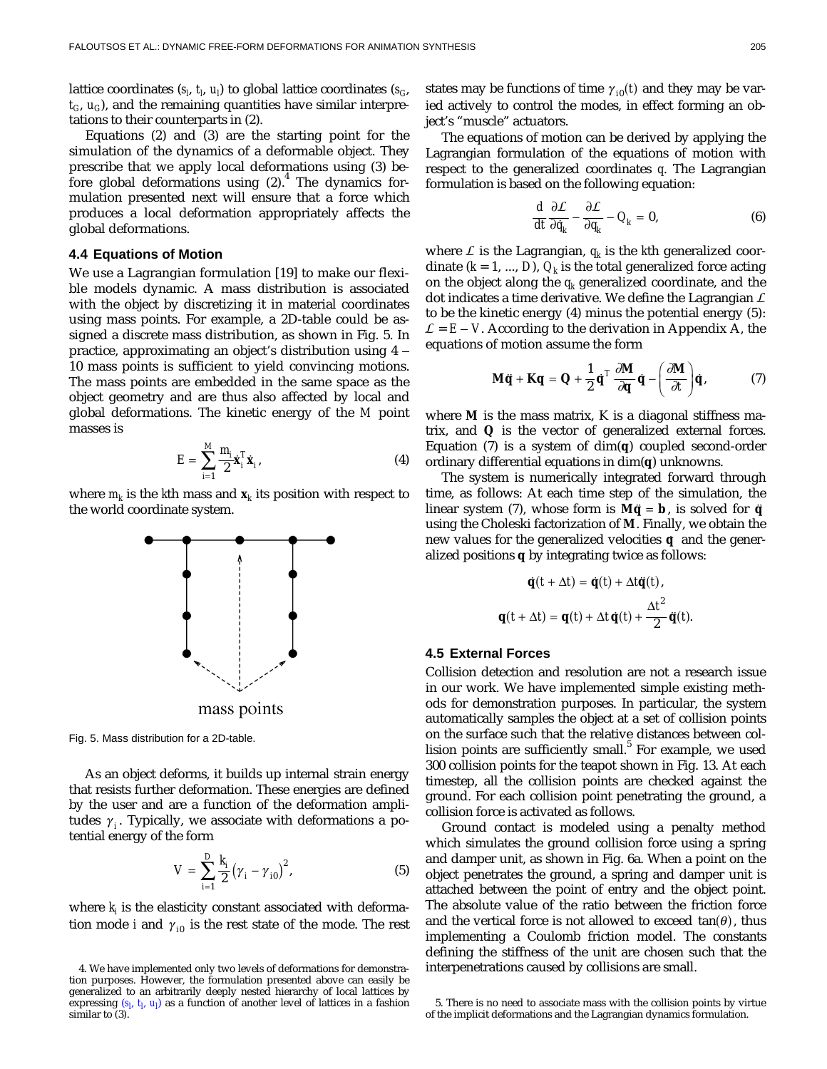lattice coordinates (*s<sub>l</sub>, t<sub>l</sub>, u<sub>l</sub>) to global lattice coordinates (<i>s<sub>G</sub>,*  $t_G$ ,  $u_G$ ), and the remaining quantities have similar interpretations to their counterparts in (2).

Equations (2) and (3) are the starting point for the simulation of the dynamics of a deformable object. They prescribe that we apply local deformations using (3) before global deformations using  $(2)$ .<sup>4</sup> The dynamics formulation presented next will ensure that a force which produces a local deformation appropriately affects the global deformations.

#### **4.4 Equations of Motion**

We use a Lagrangian formulation [19] to make our flexible models dynamic. A mass distribution is associated with the object by discretizing it in material coordinates using mass points. For example, a 2D-table could be assigned a discrete mass distribution, as shown in Fig. 5. In practice, approximating an object's distribution using 4 10 mass points is sufficient to yield convincing motions. The mass points are embedded in the same space as the object geometry and are thus also affected by local and global deformations. The kinetic energy of the *M* point masses is

$$
E = \sum_{i=1}^{M} \frac{m_i}{2} \dot{\mathbf{x}}_i^T \dot{\mathbf{x}}_i, \tag{4}
$$

where  $m_k$  is the *k*th mass and  $\mathbf{x}_k$  its position with respect to the world coordinate system.



Fig. 5. Mass distribution for a 2D-table.

As an object deforms, it builds up internal strain energy that resists further deformation. These energies are defined by the user and are a function of the deformation amplitudes  $\gamma_i$ . Typically, we associate with deformations a potential energy of the form

$$
V = \sum_{i=1}^{D} \frac{k_i}{2} (\gamma_i - \gamma_{i0})^2, \tag{5}
$$

where  $k_i$  is the elasticity constant associated with deforma- $\,$ tion mode *i* and  $\gamma_{i0}$  is the rest state of the mode. The rest states may be functions of time  $\gamma_{i0}(t)$  and they may be varied actively to control the modes, in effect forming an object's "muscle" actuators.

The equations of motion can be derived by applying the Lagrangian formulation of the equations of motion with respect to the generalized coordinates *q*. The Lagrangian formulation is based on the following equation:

$$
\frac{d}{dt}\frac{\partial \mathcal{L}}{\partial \dot{q}_k} - \frac{\partial \mathcal{L}}{\partial q_k} - Q_k = 0, \tag{6}
$$

where  $\mathcal L$  is the Lagrangian,  $q_k$  is the *k*th generalized coordinate  $(k = 1, ..., D)$ ,  $Q_k$  is the total generalized force acting on the object along the *qk* generalized coordinate, and the dot indicates a time derivative. We define the Lagrangian  $\mathcal L$ to be the kinetic energy (4) minus the potential energy (5):  $L = E - V$ . According to the derivation in Appendix A, the equations of motion assume the form

$$
M\ddot{q} + Kq = Q + \frac{1}{2}\dot{q}^T \frac{\partial M}{\partial q} \dot{q} - \left(\frac{\partial M}{\partial t}\right)\dot{q}, \qquad (7)
$$

where **M** is the mass matrix, K is a diagonal stiffness matrix, and **Q** is the vector of generalized external forces. Equation (7) is a system of dim(**q**) coupled second-order ordinary differential equations in dim(**q**) unknowns.

The system is numerically integrated forward through time, as follows: At each time step of the simulation, the linear system (7), whose form is  $M\ddot{q} = b$ , is solved for  $\ddot{q}$ using the Choleski factorization of **M**. Finally, we obtain the new values for the generalized velocities **q**& and the generalized positions **q** by integrating twice as follows:

$$
\dot{\mathbf{q}}(t + \Delta t) = \dot{\mathbf{q}}(t) + \Delta t \ddot{\mathbf{q}}(t),
$$

$$
\mathbf{q}(t + \Delta t) = \mathbf{q}(t) + \Delta t \dot{\mathbf{q}}(t) + \frac{\Delta t^2}{2} \ddot{\mathbf{q}}(t).
$$

# **4.5 External Forces**

Collision detection and resolution are not a research issue in our work. We have implemented simple existing methods for demonstration purposes. In particular, the system automatically samples the object at a set of collision points on the surface such that the relative distances between collision points are sufficiently small. $^5$  For example, we used 300 collision points for the teapot shown in Fig. 13. At each timestep, all the collision points are checked against the ground. For each collision point penetrating the ground, a collision force is activated as follows.

Ground contact is modeled using a penalty method which simulates the ground collision force using a spring and damper unit, as shown in Fig. 6a. When a point on the object penetrates the ground, a spring and damper unit is attached between the point of entry and the object point. The absolute value of the ratio between the friction force and the vertical force is not allowed to exceed  $tan(\theta)$ , thus implementing a Coulomb friction model. The constants defining the stiffness of the unit are chosen such that the interpenetrations caused by collisions are small.

<sup>4.</sup> We have implemented only two levels of deformations for demonstration purposes. However, the formulation presented above can easily be generalized to an arbitrarily deeply nested hierarchy of local lattices by expressing (s<sub>l</sub>, t<sub>l</sub>, u<sub>l</sub>) as a function of another level of lattices in a fashion similar to (3).

<sup>5.</sup> There is no need to associate mass with the collision points by virtue of the implicit deformations and the Lagrangian dynamics formulation.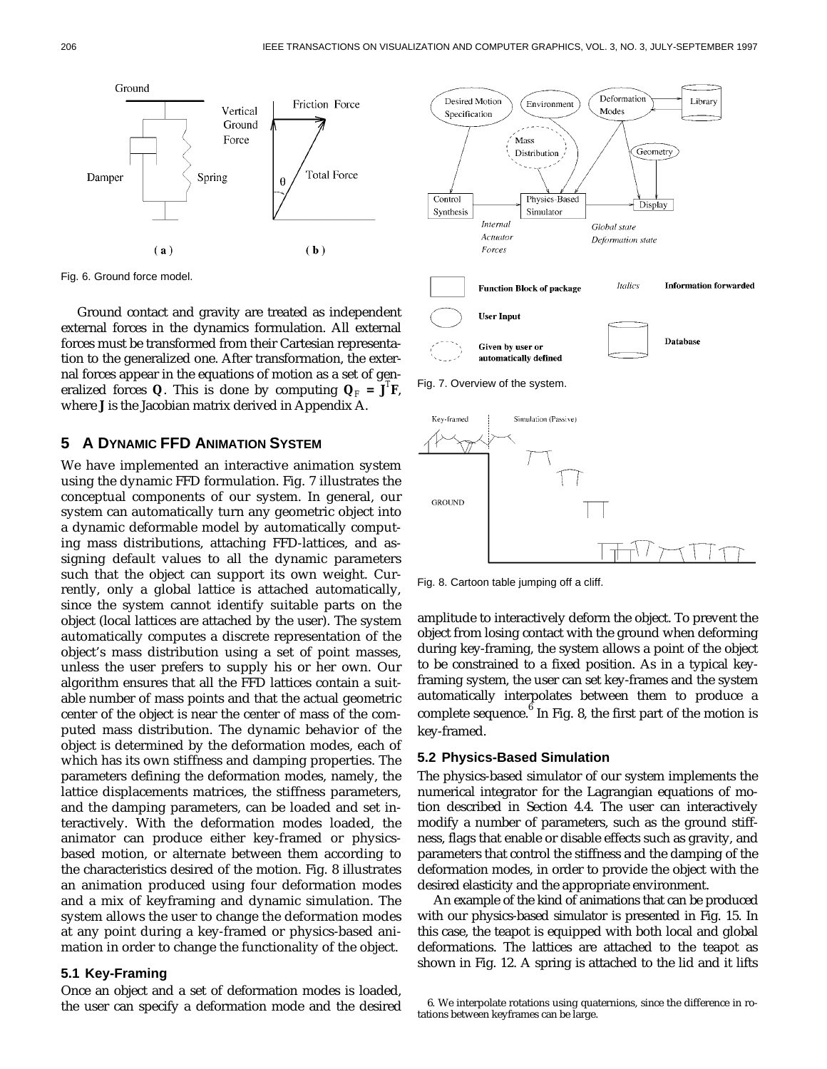

Fig. 6. Ground force model.

Ground contact and gravity are treated as independent external forces in the dynamics formulation. All external forces must be transformed from their Cartesian representation to the generalized one. After transformation, the external forces appear in the equations of motion as a set of generalized forces **Q**. This is done by computing  $Q_F = J^T F$ , where **J** is the Jacobian matrix derived in Appendix A.

# **5 A DYNAMIC FFD ANIMATION SYSTEM**

We have implemented an interactive animation system using the dynamic FFD formulation. Fig. 7 illustrates the conceptual components of our system. In general, our system can automatically turn any geometric object into a dynamic deformable model by automatically computing mass distributions, attaching FFD-lattices, and assigning default values to all the dynamic parameters such that the object can support its own weight. Currently, only a global lattice is attached automatically, since the system cannot identify suitable parts on the object (local lattices are attached by the user). The system automatically computes a discrete representation of the object's mass distribution using a set of point masses, unless the user prefers to supply his or her own. Our algorithm ensures that all the FFD lattices contain a suitable number of mass points and that the actual geometric center of the object is near the center of mass of the computed mass distribution. The dynamic behavior of the object is determined by the deformation modes, each of which has its own stiffness and damping properties. The parameters defining the deformation modes, namely, the lattice displacements matrices, the stiffness parameters, and the damping parameters, can be loaded and set interactively. With the deformation modes loaded, the animator can produce either key-framed or physicsbased motion, or alternate between them according to the characteristics desired of the motion. Fig. 8 illustrates an animation produced using four deformation modes and a mix of keyframing and dynamic simulation. The system allows the user to change the deformation modes at any point during a key-framed or physics-based animation in order to change the functionality of the object.

#### **5.1 Key-Framing**

Once an object and a set of deformation modes is loaded, the user can specify a deformation mode and the desired





Fig. 8. Cartoon table jumping off a cliff.

amplitude to interactively deform the object. To prevent the object from losing contact with the ground when deforming during key-framing, the system allows a point of the object to be constrained to a fixed position. As in a typical keyframing system, the user can set key-frames and the system automatically interpolates between them to produce a complete sequence. $^6$  In Fig. 8, the first part of the motion is key-framed.

#### **5.2 Physics-Based Simulation**

The physics-based simulator of our system implements the numerical integrator for the Lagrangian equations of motion described in Section 4.4. The user can interactively modify a number of parameters, such as the ground stiffness, flags that enable or disable effects such as gravity, and parameters that control the stiffness and the damping of the deformation modes, in order to provide the object with the desired elasticity and the appropriate environment.

An example of the kind of animations that can be produced with our physics-based simulator is presented in Fig. 15. In this case, the teapot is equipped with both local and global deformations. The lattices are attached to the teapot as shown in Fig. 12. A spring is attached to the lid and it lifts

<sup>6.</sup> We interpolate rotations using quaternions, since the difference in rotations between keyframes can be large.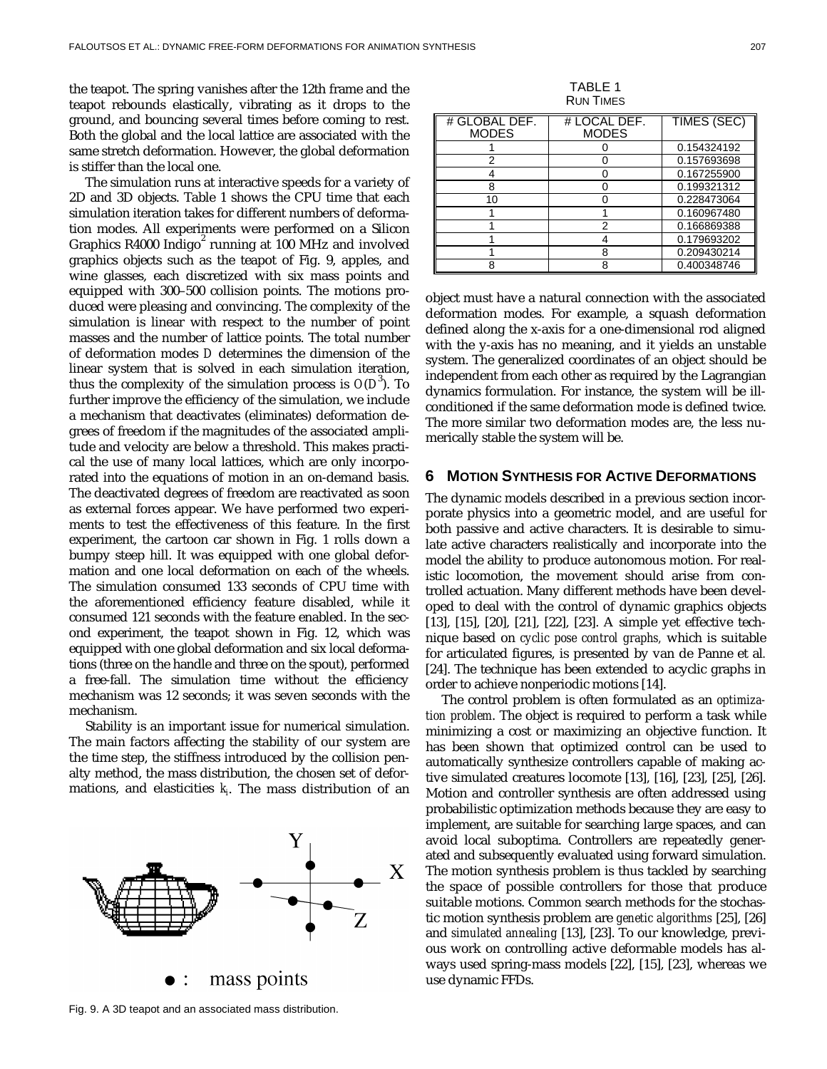the teapot. The spring vanishes after the 12th frame and the teapot rebounds elastically, vibrating as it drops to the ground, and bouncing several times before coming to rest. Both the global and the local lattice are associated with the same stretch deformation. However, the global deformation is stiffer than the local one.

The simulation runs at interactive speeds for a variety of 2D and 3D objects. Table 1 shows the CPU time that each simulation iteration takes for different numbers of deformation modes. All experiments were performed on a Silicon Graphics R4000 Indigo<sup>2</sup> running at 100 MHz and involved graphics objects such as the teapot of Fig. 9, apples, and wine glasses, each discretized with six mass points and equipped with 300–500 collision points. The motions produced were pleasing and convincing. The complexity of the simulation is linear with respect to the number of point masses and the number of lattice points. The total number of deformation modes *D* determines the dimension of the linear system that is solved in each simulation iteration, thus the complexity of the simulation process is  $O(D^3)$ . To further improve the efficiency of the simulation, we include a mechanism that deactivates (eliminates) deformation degrees of freedom if the magnitudes of the associated amplitude and velocity are below a threshold. This makes practical the use of many local lattices, which are only incorporated into the equations of motion in an on-demand basis. The deactivated degrees of freedom are reactivated as soon as external forces appear. We have performed two experiments to test the effectiveness of this feature. In the first experiment, the cartoon car shown in Fig. 1 rolls down a bumpy steep hill. It was equipped with one global deformation and one local deformation on each of the wheels. The simulation consumed 133 seconds of CPU time with the aforementioned efficiency feature disabled, while it consumed 121 seconds with the feature enabled. In the second experiment, the teapot shown in Fig. 12, which was equipped with one global deformation and six local deformations (three on the handle and three on the spout), performed a free-fall. The simulation time without the efficiency mechanism was 12 seconds; it was seven seconds with the mechanism.

Stability is an important issue for numerical simulation. The main factors affecting the stability of our system are the time step, the stiffness introduced by the collision penalty method, the mass distribution, the chosen set of deformations, and elasticities  $k_i$ . The mass distribution of an



Fig. 9. A 3D teapot and an associated mass distribution.

| TABLE 1   |
|-----------|
| RUN TIMES |

| # GLOBAL DEF.<br><b>MODES</b> | # LOCAL DEF.<br><b>MODES</b> | TIMES (SEC) |
|-------------------------------|------------------------------|-------------|
|                               |                              | 0.154324192 |
|                               |                              | 0.157693698 |
|                               |                              | 0.167255900 |
|                               |                              | 0.199321312 |
| 10                            |                              | 0.228473064 |
|                               |                              | 0.160967480 |
|                               | 2                            | 0.166869388 |
|                               |                              | 0.179693202 |
|                               | 8                            | 0.209430214 |
|                               | ጸ                            | 0.400348746 |

object must have a natural connection with the associated deformation modes. For example, a squash deformation defined along the x-axis for a one-dimensional rod aligned with the y-axis has no meaning, and it yields an unstable system. The generalized coordinates of an object should be independent from each other as required by the Lagrangian dynamics formulation. For instance, the system will be illconditioned if the same deformation mode is defined twice. The more similar two deformation modes are, the less numerically stable the system will be.

#### **6 MOTION SYNTHESIS FOR ACTIVE DEFORMATIONS**

The dynamic models described in a previous section incorporate physics into a geometric model, and are useful for both passive and active characters. It is desirable to simulate active characters realistically and incorporate into the model the ability to produce autonomous motion. For realistic locomotion, the movement should arise from controlled actuation. Many different methods have been developed to deal with the control of dynamic graphics objects [13], [15], [20], [21], [22], [23]. A simple yet effective technique based on *cyclic pose control graphs,* which is suitable for articulated figures, is presented by van de Panne et al*.* [24]. The technique has been extended to acyclic graphs in order to achieve nonperiodic motions [14].

The control problem is often formulated as an *optimization problem*. The object is required to perform a task while minimizing a cost or maximizing an objective function. It has been shown that optimized control can be used to automatically synthesize controllers capable of making active simulated creatures locomote [13], [16], [23], [25], [26]. Motion and controller synthesis are often addressed using probabilistic optimization methods because they are easy to implement, are suitable for searching large spaces, and can avoid local suboptima. Controllers are repeatedly generated and subsequently evaluated using forward simulation. The motion synthesis problem is thus tackled by searching the space of possible controllers for those that produce suitable motions. Common search methods for the stochastic motion synthesis problem are *genetic algorithms* [25], [26] and *simulated annealing* [13], [23]. To our knowledge, previous work on controlling active deformable models has always used spring-mass models [22], [15], [23], whereas we use dynamic FFDs.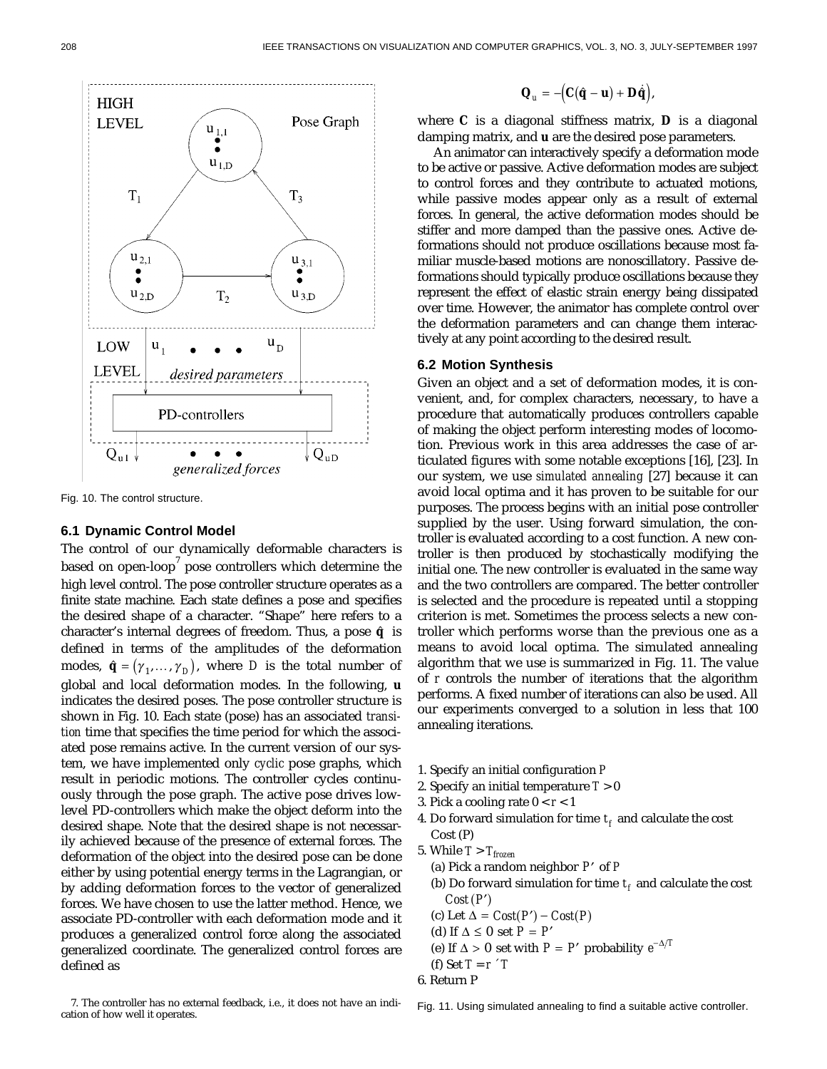

Fig. 10. The control structure.

#### **6.1 Dynamic Control Model**

The control of our dynamically deformable characters is based on open-loop $^{7}$  pose controllers which determine the high level control. The pose controller structure operates as a finite state machine. Each state defines a pose and specifies the desired shape of a character. "Shape" here refers to a character's internal degrees of freedom. Thus, a pose  $\hat{q}$  is defined in terms of the amplitudes of the deformation modes,  $\hat{\mathbf{q}} = (\gamma_1, \dots, \gamma_D)$ , where *D* is the total number of global and local deformation modes. In the following, **u** indicates the desired poses. The pose controller structure is shown in Fig. 10. Each state (pose) has an associated *transition* time that specifies the time period for which the associated pose remains active. In the current version of our system, we have implemented only *cyclic* pose graphs, which result in periodic motions. The controller cycles continuously through the pose graph. The active pose drives lowlevel PD-controllers which make the object deform into the desired shape. Note that the desired shape is not necessarily achieved because of the presence of external forces. The deformation of the object into the desired pose can be done either by using potential energy terms in the Lagrangian, or by adding deformation forces to the vector of generalized forces. We have chosen to use the latter method. Hence, we associate PD-controller with each deformation mode and it produces a generalized control force along the associated generalized coordinate. The generalized control forces are defined as

# $\mathbf{Q}_n = - (\mathbf{C}(\hat{\mathbf{q}} - \mathbf{u}) + \mathbf{D}\hat{\dot{\mathbf{q}}}),$

where **C** is a diagonal stiffness matrix, **D** is a diagonal damping matrix, and **u** are the desired pose parameters.

An animator can interactively specify a deformation mode to be active or passive. Active deformation modes are subject to control forces and they contribute to actuated motions, while passive modes appear only as a result of external forces. In general, the active deformation modes should be stiffer and more damped than the passive ones. Active deformations should not produce oscillations because most familiar muscle-based motions are nonoscillatory. Passive deformations should typically produce oscillations because they represent the effect of elastic strain energy being dissipated over time. However, the animator has complete control over the deformation parameters and can change them interactively at any point according to the desired result.

#### **6.2 Motion Synthesis**

Given an object and a set of deformation modes, it is convenient, and, for complex characters, necessary, to have a procedure that automatically produces controllers capable of making the object perform interesting modes of locomotion. Previous work in this area addresses the case of articulated figures with some notable exceptions [16], [23]. In our system, we use *simulated annealing* [27] because it can avoid local optima and it has proven to be suitable for our purposes. The process begins with an initial pose controller supplied by the user. Using forward simulation, the controller is evaluated according to a cost function. A new controller is then produced by stochastically modifying the initial one. The new controller is evaluated in the same way and the two controllers are compared. The better controller is selected and the procedure is repeated until a stopping criterion is met. Sometimes the process selects a new controller which performs worse than the previous one as a means to avoid local optima. The simulated annealing algorithm that we use is summarized in Fig. 11. The value of *r* controls the number of iterations that the algorithm performs. A fixed number of iterations can also be used. All our experiments converged to a solution in less that 100 annealing iterations.

- 1. Specify an initial configuration *P*
- 2. Specify an initial temperature *T* > 0
- 3. Pick a cooling rate  $0 < r < 1$
- 4. Do forward simulation for time  $t_f$  and calculate the cost Cost (P)
- 5. While  $T > T_{frozen}$ 
	- (a) Pick a random neighbor  $P'$  of  $P$
	- (b) Do forward simulation for time  $t_f$  and calculate the cost  $Cost(P)$
	- (c) Let  $\Delta = Cost(P') Cost(P)$
	- (d) If  $\Delta \leq 0$  set  $P = P'$
	- (e) If  $\Delta > 0$  set with  $P = P'$  probability  $e^{-\Delta/T}$
- (f) Set  $T = r \hat{\ } T$
- 6. Return P

7. The controller has no external feedback, i.e., it does not have an indication of how well it operates.

Fig. 11. Using simulated annealing to find a suitable active controller.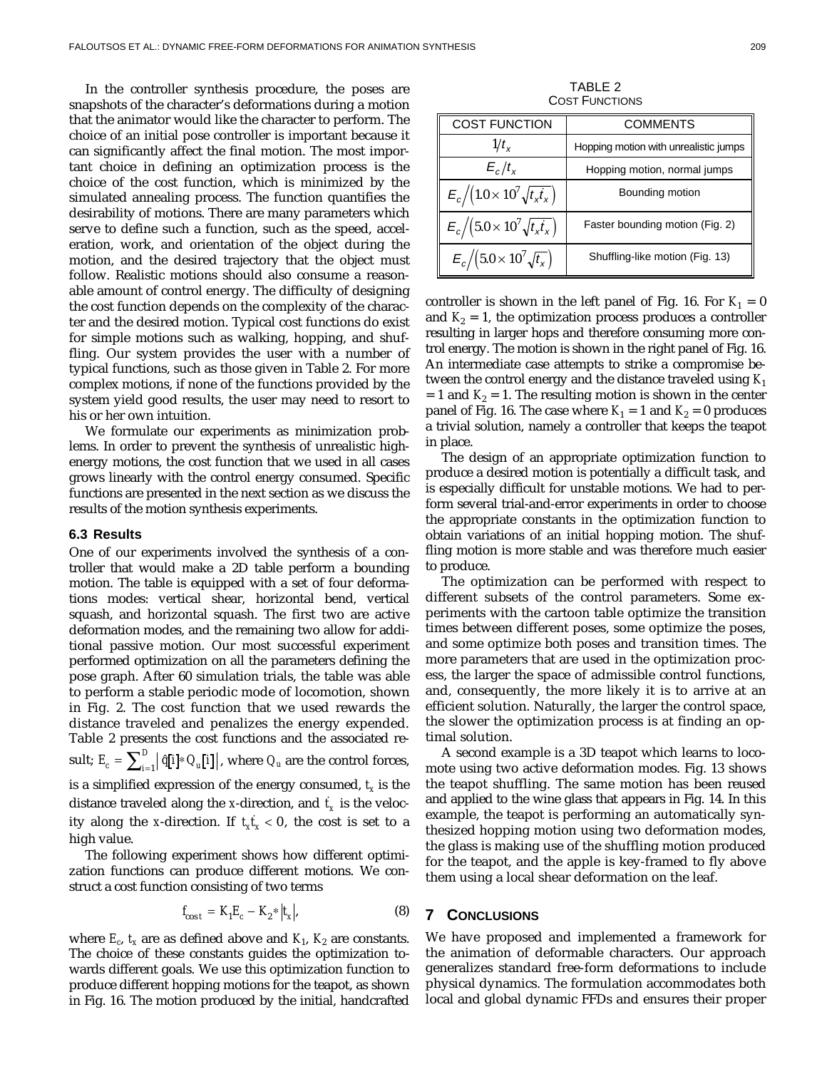In the controller synthesis procedure, the poses are snapshots of the character's deformations during a motion that the animator would like the character to perform. The choice of an initial pose controller is important because it can significantly affect the final motion. The most important choice in defining an optimization process is the choice of the cost function, which is minimized by the simulated annealing process. The function quantifies the desirability of motions. There are many parameters which serve to define such a function, such as the speed, acceleration, work, and orientation of the object during the motion, and the desired trajectory that the object must follow. Realistic motions should also consume a reasonable amount of control energy. The difficulty of designing the cost function depends on the complexity of the character and the desired motion. Typical cost functions do exist for simple motions such as walking, hopping, and shuffling. Our system provides the user with a number of typical functions, such as those given in Table 2. For more complex motions, if none of the functions provided by the system yield good results, the user may need to resort to his or her own intuition.

We formulate our experiments as minimization problems. In order to prevent the synthesis of unrealistic highenergy motions, the cost function that we used in all cases grows linearly with the control energy consumed. Specific functions are presented in the next section as we discuss the results of the motion synthesis experiments.

#### **6.3 Results**

One of our experiments involved the synthesis of a controller that would make a 2D table perform a bounding motion. The table is equipped with a set of four deformations modes: vertical shear, horizontal bend, vertical squash, and horizontal squash. The first two are active deformation modes, and the remaining two allow for additional passive motion. Our most successful experiment performed optimization on all the parameters defining the pose graph. After 60 simulation trials, the table was able to perform a stable periodic mode of locomotion, shown in Fig. 2. The cost function that we used rewards the distance traveled and penalizes the energy expended. Table 2 presents the cost functions and the associated result;  $E_c = \sum_{i=1}^{D} |\hat{q}[i]*Q_u[i]|$ , where  $Q_u$  are the control forces, is a simplified expression of the energy consumed,  $t_x$  is the distance traveled along the *x*-direction, and  $\dot{t}_r$  is the velocity along the *x*-direction. If  $t_x \dot{t}_x < 0$ , the cost is set to a high value.

The following experiment shows how different optimization functions can produce different motions. We construct a cost function consisting of two terms

$$
f_{\cos t} = K_1 E_c - K_2 * |t_x|,
$$
 (8)

where  $E_c$ ,  $t_x$  are as defined above and  $K_1$ ,  $K_2$  are constants. The choice of these constants guides the optimization towards different goals. We use this optimization function to produce different hopping motions for the teapot, as shown in Fig. 16. The motion produced by the initial, handcrafted

TABLE 2 COST FUNCTIONS

| <b>COST FUNCTION</b>                 | COMMENTS                              |  |
|--------------------------------------|---------------------------------------|--|
| $1/t_{\sim}$                         | Hopping motion with unrealistic jumps |  |
| $E_c/t_x$                            | Hopping motion, normal jumps          |  |
| $E_c/(1.0\times10^7 \sqrt{t_x t_x})$ | Bounding motion                       |  |
| $E_c/(5.0\times10^7\sqrt{t_x t_x})$  | Faster bounding motion (Fig. 2)       |  |
| $E_c / (5.0 \times 10^7 \sqrt{t_x})$ | Shuffling-like motion (Fig. 13)       |  |

controller is shown in the left panel of Fig. 16. For  $K_1 = 0$ and  $K_2 = 1$ , the optimization process produces a controller resulting in larger hops and therefore consuming more control energy. The motion is shown in the right panel of Fig. 16. An intermediate case attempts to strike a compromise between the control energy and the distance traveled using *K*<sup>1</sup>  $= 1$  and  $K_2 = 1$ . The resulting motion is shown in the center panel of Fig. 16. The case where  $K_1 = 1$  and  $K_2 = 0$  produces a trivial solution, namely a controller that keeps the teapot in place.

The design of an appropriate optimization function to produce a desired motion is potentially a difficult task, and is especially difficult for unstable motions. We had to perform several trial-and-error experiments in order to choose the appropriate constants in the optimization function to obtain variations of an initial hopping motion. The shuffling motion is more stable and was therefore much easier to produce.

The optimization can be performed with respect to different subsets of the control parameters. Some experiments with the cartoon table optimize the transition times between different poses, some optimize the poses, and some optimize both poses and transition times. The more parameters that are used in the optimization process, the larger the space of admissible control functions, and, consequently, the more likely it is to arrive at an efficient solution. Naturally, the larger the control space, the slower the optimization process is at finding an optimal solution.

A second example is a 3D teapot which learns to locomote using two active deformation modes. Fig. 13 shows the teapot shuffling. The same motion has been reused and applied to the wine glass that appears in Fig. 14. In this example, the teapot is performing an automatically synthesized hopping motion using two deformation modes, the glass is making use of the shuffling motion produced for the teapot, and the apple is key-framed to fly above them using a local shear deformation on the leaf.

# **7 CONCLUSIONS**

We have proposed and implemented a framework for the animation of deformable characters. Our approach generalizes standard free-form deformations to include physical dynamics. The formulation accommodates both local and global dynamic FFDs and ensures their proper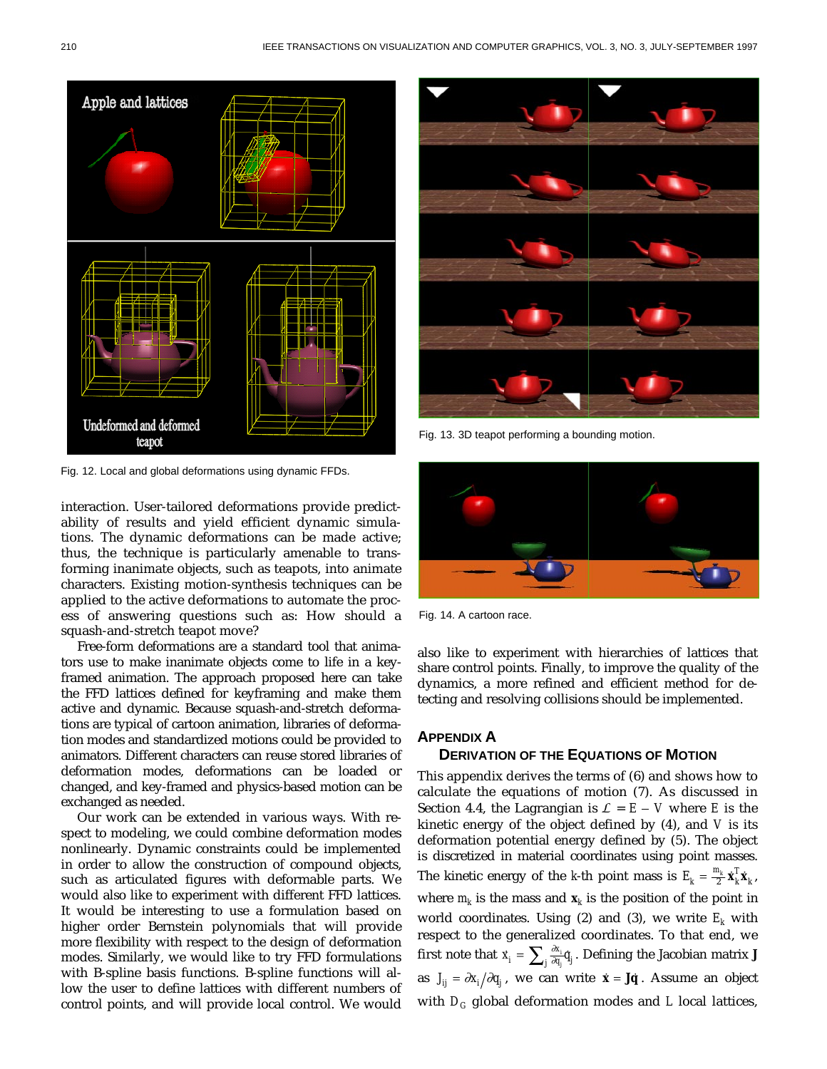

Fig. 12. Local and global deformations using dynamic FFDs.

interaction. User-tailored deformations provide predictability of results and yield efficient dynamic simulations. The dynamic deformations can be made active; thus, the technique is particularly amenable to transforming inanimate objects, such as teapots, into animate characters. Existing motion-synthesis techniques can be applied to the active deformations to automate the process of answering questions such as: How should a squash-and-stretch teapot move?

Free-form deformations are a standard tool that animators use to make inanimate objects come to life in a keyframed animation. The approach proposed here can take the FFD lattices defined for keyframing and make them active and dynamic. Because squash-and-stretch deformations are typical of cartoon animation, libraries of deformation modes and standardized motions could be provided to animators. Different characters can reuse stored libraries of deformation modes, deformations can be loaded or changed, and key-framed and physics-based motion can be exchanged as needed.

Our work can be extended in various ways. With respect to modeling, we could combine deformation modes nonlinearly. Dynamic constraints could be implemented in order to allow the construction of compound objects, such as articulated figures with deformable parts. We would also like to experiment with different FFD lattices. It would be interesting to use a formulation based on higher order Bernstein polynomials that will provide more flexibility with respect to the design of deformation modes. Similarly, we would like to try FFD formulations with B-spline basis functions. B-spline functions will allow the user to define lattices with different numbers of control points, and will provide local control. We would



Fig. 13. 3D teapot performing a bounding motion.



Fig. 14. A cartoon race.

also like to experiment with hierarchies of lattices that share control points. Finally, to improve the quality of the dynamics, a more refined and efficient method for detecting and resolving collisions should be implemented.

#### **APPENDIX A**

# **DERIVATION OF THE EQUATIONS OF MOTION**

This appendix derives the terms of (6) and shows how to calculate the equations of motion (7). As discussed in Section 4.4, the Lagrangian is  $\mathcal{L} = E - V$  where *E* is the kinetic energy of the object defined by (4), and *V* is its deformation potential energy defined by (5). The object is discretized in material coordinates using point masses. The kinetic energy of the *k*-th point mass is  $E_k = \frac{m}{2}$  $=\frac{m_k}{2}\dot{\mathbf{x}}_k^T\dot{\mathbf{x}}_k$ where  $m_k$  is the mass and  $\mathbf{x}_k$  is the position of the point in world coordinates. Using  $(2)$  and  $(3)$ , we write  $E_k$  with respect to the generalized coordinates. To that end, we first note that  $\dot{x}_i = \sum_j \frac{\partial x_i}{\partial q_j} \dot{q}_j$ . Defining the Jacobian matrix  $\bf J$ as  $J_{ii} = \partial x_i / \partial q_i$ , we can write  $\dot{\mathbf{x}} = \mathbf{J}\dot{\mathbf{q}}$ . Assume an object with *DG* global deformation modes and *L* local lattices,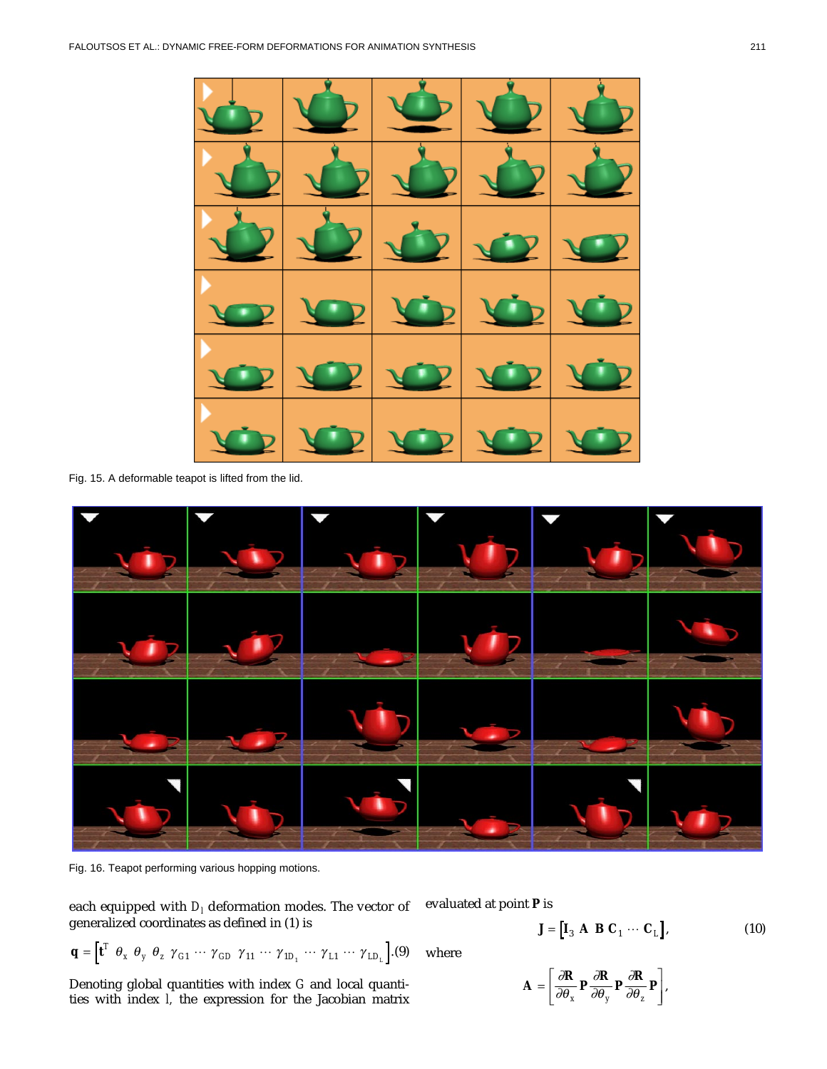

Fig. 15. A deformable teapot is lifted from the lid.



Fig. 16. Teapot performing various hopping motions.

each equipped with  $D_l$  deformation modes. The vector of generalized coordinates as defined in (1) is

$$
\mathbf{q} = \left[\mathbf{t}^T \ \theta_x \ \theta_y \ \theta_z \ \gamma_{G1} \ \cdots \ \gamma_{GD} \ \gamma_{11} \ \cdots \ \gamma_{1D_1} \ \cdots \ \gamma_{L1} \ \cdots \ \gamma_{LD_L}\right].
$$

Denoting global quantities with index *G* and local quantities with index *l,* the expression for the Jacobian matrix evaluated at point **P** is

where

$$
\mathbf{J} = \begin{bmatrix} \mathbf{I}_3 & \mathbf{A} & \mathbf{B} & \mathbf{C}_1 & \cdots & \mathbf{C}_L \end{bmatrix},\tag{10}
$$

$$
\mathbf{A} = \left[ \frac{\partial \mathbf{R}}{\partial \theta_x} \mathbf{P} \frac{\partial \mathbf{R}}{\partial \theta_y} \mathbf{P} \frac{\partial \mathbf{R}}{\partial \theta_z} \mathbf{P} \right],
$$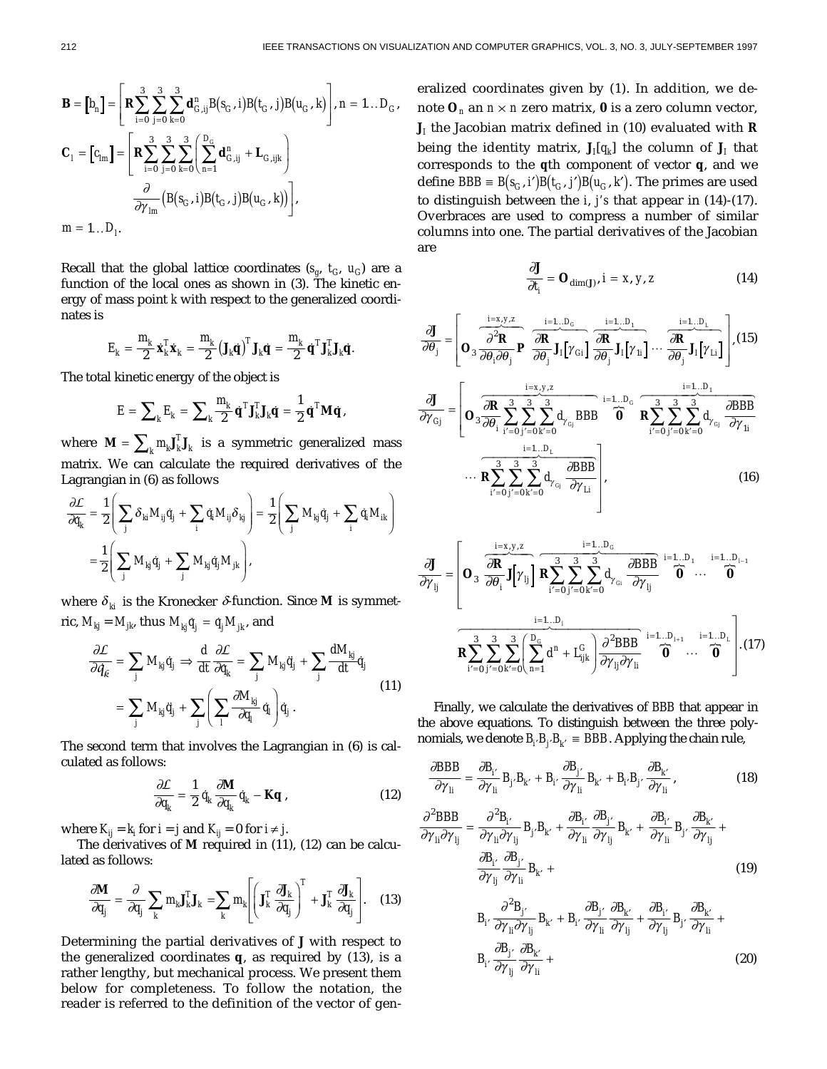*∂g*

$$
\mathbf{B} = [b_n] = \left[ \mathbf{R} \sum_{i=0}^{3} \sum_{j=0}^{3} \sum_{k=0}^{3} \mathbf{d}_{G,ij}^{n} B(s_G, i) B(t_G, j) B(u_G, k) \right], n = 1...D_G,
$$
\n
$$
\mathbf{C}_1 = [c_{lm}] = \left[ \mathbf{R} \sum_{i=0}^{3} \sum_{j=0}^{3} \sum_{k=0}^{3} \left( \sum_{n=1}^{D_G} \mathbf{d}_{G,ij}^{n} + \mathbf{L}_{G,ijk} \right) \frac{\partial}{\partial \gamma_{lm}} (B(s_G, i) B(t_G, j) B(u_G, k)) \right],
$$
\n
$$
m = 1...D_l.
$$

Recall that the global lattice coordinates  $(s_g, t_G, u_G)$  are a function of the local ones as shown in (3). The kinetic energy of mass point *k* with respect to the generalized coordinates is

$$
E_k = \frac{m_k}{2} \dot{\mathbf{x}}_k^T \dot{\mathbf{x}}_k = \frac{m_k}{2} (\mathbf{J}_k \dot{\mathbf{q}})^T \mathbf{J}_k \dot{\mathbf{q}} = \frac{m_k}{2} \dot{\mathbf{q}}^T \mathbf{J}_k^T \mathbf{J}_k \dot{\mathbf{q}}.
$$

The total kinetic energy of the object is

$$
E = \sum_{k} E_{k} = \sum_{k} \frac{m_{k}}{2} \dot{\mathbf{q}}^{T} \mathbf{J}_{k}^{T} \mathbf{J}_{k} \dot{\mathbf{q}} = \frac{1}{2} \dot{\mathbf{q}}^{T} \mathbf{M} \dot{\mathbf{q}},
$$

where  $\mathbf{M} = \sum_{k} m_{k} \mathbf{J}_{k}^{T} \mathbf{J}_{k}$  is a symmetric generalized mass matrix. We can calculate the required derivatives of the Lagrangian in (6) as follows

$$
\frac{\partial \mathcal{L}}{\partial \dot{q}_k} = \frac{1}{2} \left( \sum_j \delta_{ki} M_{ij} \dot{q}_j + \sum_i \dot{q}_i M_{ij} \delta_{kj} \right) = \frac{1}{2} \left( \sum_j M_{kj} \dot{q}_j + \sum_i \dot{q}_i M_{ik} \right)
$$

$$
= \frac{1}{2} \left( \sum_j M_{kj} \dot{q}_j + \sum_j M_{kj} \dot{q}_j M_{jk} \right),
$$

where  $\delta_{ki}$  is the Kronecker  $\delta$ -function. Since **M** is symmetric,  $M_{kj} = M_{jk}$ , thus  $M_{ki}\dot{q}_i = \dot{q}_j M_{ik}$ , and

$$
\frac{\partial \mathcal{L}}{\partial \dot{q}_{k}} = \sum_{j} M_{kj} \dot{q}_{j} \Rightarrow \frac{d}{dt} \frac{\partial \mathcal{L}}{\partial \dot{q}_{k}} = \sum_{j} M_{kj} \ddot{q}_{j} + \sum_{j} \frac{dM_{kj}}{dt} \dot{q}_{j}
$$
\n
$$
= \sum_{j} M_{kj} \ddot{q}_{j} + \sum_{j} \left( \sum_{l} \frac{\partial M_{kj}}{\partial q_{l}} \dot{q}_{l} \right) \dot{q}_{j}.
$$
\n(11)

The second term that involves the Lagrangian in (6) is calculated as follows:

$$
\frac{\partial \mathcal{L}}{\partial q_k} = \frac{1}{2} \dot{q}_k \frac{\partial \mathbf{M}}{\partial q_k} \dot{q}_k - \mathbf{Kq} ,
$$
 (12)

where  $K_{ij} = k_i$  for  $i = j$  and  $K_{ij} = 0$  for  $i \neq j$ .

The derivatives of **M** required in (11), (12) can be calculated as follows:

$$
\frac{\partial \mathbf{M}}{\partial q_j} = \frac{\partial}{\partial q_j} \sum_k m_k \mathbf{J}_k^T \mathbf{J}_k = \sum_k m_k \left[ \left( \mathbf{J}_k^T \frac{\partial \mathbf{J}_k}{\partial q_j} \right)^T + \mathbf{J}_k^T \frac{\partial \mathbf{J}_k}{\partial q_j} \right].
$$
 (13)

Determining the partial derivatives of **J** with respect to the generalized coordinates **q**, as required by (13), is a rather lengthy, but mechanical process. We present them below for completeness. To follow the notation, the reader is referred to the definition of the vector of generalized coordinates given by (1). In addition, we denote  $\mathbf{O}_n$  an  $n \times n$  zero matrix, **0** is a zero column vector,  $J_I$  the Jacobian matrix defined in (10) evaluated with **R** being the identity matrix,  $J_I[q_k]$  the column of  $J_I$  that corresponds to the *q*th component of vector **q**, and we define *BBB*  $\equiv B(s_G, i')B(t_G, j')B(u_G, k')$ . The primes are used to distinguish between the *i*, *j's* that appear in (14)-(17). Overbraces are used to compress a number of similar columns into one. The partial derivatives of the Jacobian are

$$
\frac{\partial \mathbf{J}}{\partial t_i} = \mathbf{O}_{\dim(\mathbf{J})}, i = x, y, z \tag{14}
$$

$$
\frac{\partial \mathbf{J}}{\partial \theta_j} = \left[ \mathbf{O}_3 \frac{\partial^2 \mathbf{R}}{\partial \theta_i \partial \theta_j} \mathbf{P} \frac{\partial \mathbf{R}}{\partial \theta_j} \mathbf{J}_I[\gamma_{Gi}] \frac{\partial \mathbf{R}}{\partial \theta_j} \mathbf{J}_I[\gamma_{1i}] \cdots \frac{\partial \mathbf{R}}{\partial \theta_j} \mathbf{J}_I[\gamma_{1i}] \right], (15)
$$

$$
\frac{\partial \mathbf{J}}{\partial \gamma_{Gj}} = \left[ \mathbf{O}_3 \frac{\partial \mathbf{R}}{\partial \theta_i} \sum_{i'=0}^3 \sum_{j'=0}^3 \sum_{k'=0}^3 d_{\gamma_{Gj}} BBB \frac{i=1...D_G}{\mathbf{O}} \frac{\sum_{i=1...D_i}^{i=1...D_i} \partial_{\gamma_{Gj}} \frac{\partial BBB}{\partial \gamma_{1i}} \right]
$$
\n
$$
\cdots \mathbf{R} \sum_{i'=0}^3 \sum_{j'=0}^3 \sum_{k'=0}^3 \frac{\partial}{\partial \gamma_{Gj}} \frac{\partial BBB}{\partial \gamma_{Li}} \right],
$$
\n(16)

$$
\frac{\partial \mathbf{J}}{\partial \gamma_{ij}} = \left[ \mathbf{O}_3 \frac{\partial \mathbf{R}}{\partial \theta_i} \mathbf{J} \left[ \gamma_{ij} \right] \mathbf{R} \sum_{i'=0}^3 \sum_{j'=0}^{i=1...D_c} \sum_{k'=0}^{i=1...D_c} d_{\gamma_{ci}} \frac{\partial BBB}{\partial \gamma_{ij}} \frac{\partial^{i=1...D_{l-1}}}{\partial \gamma_{ij}} \cdots \widehat{\mathbf{O}} \cdots \widehat{\mathbf{O}} \right]
$$

$$
\mathbf{R} \sum_{i'=0}^3 \sum_{j'=0}^3 \sum_{k'=0}^3 \left( \sum_{n=1}^{D_c} d^n + L_{ijk}^C \right) \frac{\partial^2 BBB}{\partial \gamma_{ij} \partial \gamma_{ii}} \stackrel{i=1...D_{l-1}}{\mathbf{O}} \cdots \widehat{\mathbf{O}} \left[ \begin{array}{c} \mathbf{0} \\ \mathbf{0} \end{array} \right]. (17)
$$

Finally, we calculate the derivatives of *BBB* that appear in the above equations. To distinguish between the three polynomials, we denote  $B_i$   $B_j$   $B_k$  = *BBB*. Applying the chain rule,

$$
\frac{\partial BBB}{\partial \gamma_{li}} = \frac{\partial B_{i'}}{\partial \gamma_{li}} B_{j'} B_{k'} + B_{i'} \frac{\partial B_{j'}}{\partial \gamma_{li}} B_{k'} + B_{i'} B_{j'} \frac{\partial B_{k'}}{\partial \gamma_{li}},
$$
(18)

$$
\frac{\partial^2 BBB}{\partial \gamma_{li} \partial \gamma_{lj}} = \frac{\partial^2 B_{i'}}{\partial \gamma_{li} \partial \gamma_{lj}} B_{j'} B_{k'} + \frac{\partial B_{i'}}{\partial \gamma_{li}} \frac{\partial B_{j'}}{\partial \gamma_{lj}} B_{k'} + \frac{\partial B_{i'}}{\partial \gamma_{li}} B_{j'} \frac{\partial B_{k'}}{\partial \gamma_{lj}} + \frac{\partial B_{i'}}{\partial \gamma_{lj}} \frac{\partial B_{j'}}{\partial \gamma_{lj}} B_{k'} + \qquad (19)
$$

$$
B_{i'} \frac{\partial^2 B_{j'}}{\partial \gamma_{li} \partial \gamma_{lj}} B_{k'} + B_{i'} \frac{\partial B_{j'}}{\partial \gamma_{li}} \frac{\partial B_{k'}}{\partial \gamma_{lj}} + \frac{\partial B_{i'}}{\partial \gamma_{lj}} B_{j'} \frac{\partial B_{k'}}{\partial \gamma_{li}} +
$$
  

$$
B_{i'} \frac{\partial B_{j'}}{\partial \gamma_{lj}} \frac{\partial B_{k'}}{\partial \gamma_{li}} +
$$
 (20)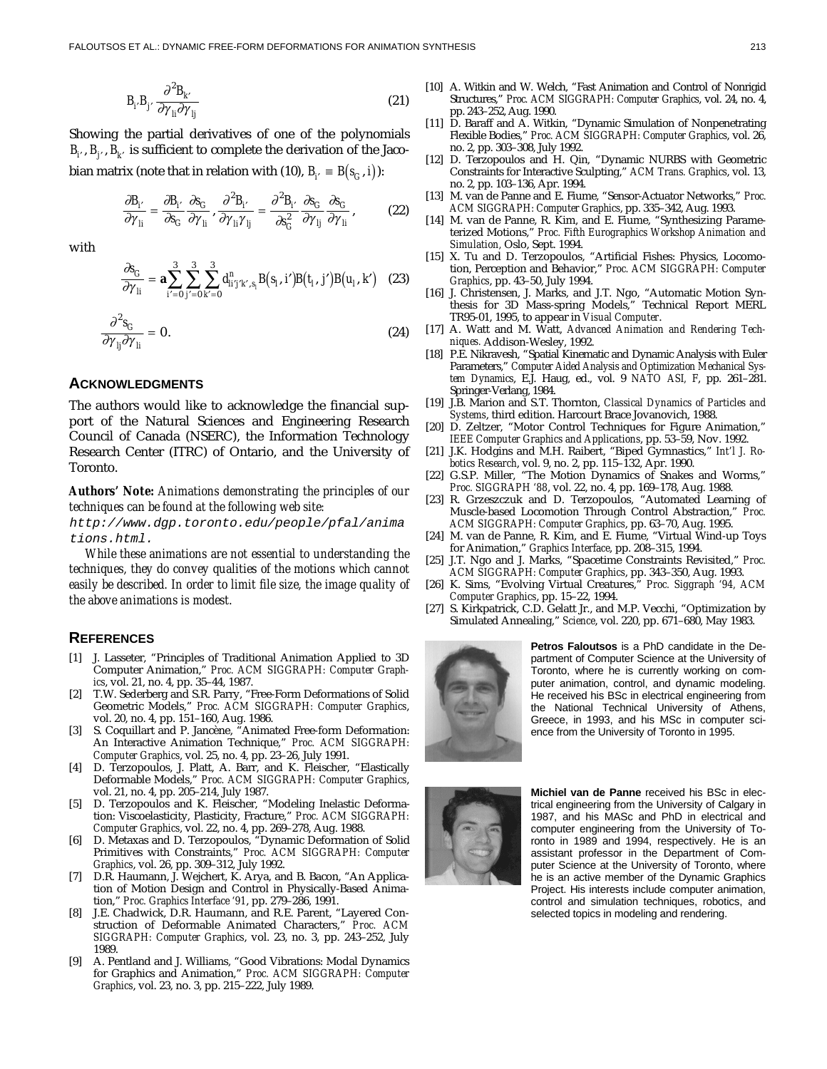$$
B_{i'}B_{j'} \frac{\partial^2 B_{k'}}{\partial \gamma_{li} \partial \gamma_{lj}} \tag{21}
$$

Showing the partial derivatives of one of the polynomials  $B_{i}$ ,  $B_{i}$ ,  $B_{k}$  is sufficient to complete the derivation of the Jaco-

bian matrix (note that in relation with (10),  $B_{i'} = B(s_G, i)$ ):

$$
\frac{\partial B_{i'}}{\partial \gamma_{ii}} = \frac{\partial B_{i'}}{\partial s_G} \frac{\partial s_G}{\partial \gamma_{ii}}, \frac{\partial^2 B_{i'}}{\partial \gamma_{ii} \gamma_{ij}} = \frac{\partial^2 B_{i'}}{\partial s_G^2} \frac{\partial s_G}{\partial \gamma_{ij}} \frac{\partial s_G}{\partial \gamma_{ii}},
$$
(22)

with

$$
\frac{\partial s_G}{\partial \gamma_{li}} = \mathbf{a} \sum_{i'=0}^3 \sum_{j'=0}^3 \sum_{k'=0}^3 d_{li'j'k',s_l}^n B(s_l, i') B(t_l, j') B(u_l, k') \quad (23)
$$

$$
\frac{\partial^2 s_G}{\partial \gamma_{ij} \partial \gamma_{ii}} = 0. \tag{24}
$$

#### **ACKNOWLEDGMENTS**

The authors would like to acknowledge the financial support of the Natural Sciences and Engineering Research Council of Canada (NSERC), the Information Technology Research Center (ITRC) of Ontario, and the University of Toronto.

# *Authors' Note: Animations demonstrating the principles of our techniques can be found at the following web site:*

http://www.dgp.toronto.edu/people/pfal/anima tions.html.

*While these animations are not essential to understanding the techniques, they do convey qualities of the motions which cannot easily be described. In order to limit file size, the image quality of the above animations is modest.*

#### **REFERENCES**

- [1] J. Lasseter, "Principles of Traditional Animation Applied to 3D Computer Animation," *Proc. ACM SIGGRAPH: Computer Graphics*, vol. 21, no. 4, pp. 35–44, 1987.
- T.W. Sederberg and S.R. Parry, "Free-Form Deformations of Solid Geometric Models," *Proc. ACM SIGGRAPH: Computer Graphics*, vol. 20, no. 4, pp. 151–160, Aug. 1986.
- [3] S. Coquillart and P. Jancène, "Animated Free-form Deformation: An Interactive Animation Technique," *Proc. ACM SIGGRAPH: Computer Graphics*, vol. 25, no. 4, pp. 23–26, July 1991.
- [4] D. Terzopoulos, J. Platt, A. Barr, and K. Fleischer, "Elastically Deformable Models," *Proc. ACM SIGGRAPH: Computer Graphics*, vol. 21, no. 4, pp. 205–214, July 1987.
- [5] D. Terzopoulos and K. Fleischer, "Modeling Inelastic Deformation: Viscoelasticity, Plasticity, Fracture," *Proc. ACM SIGGRAPH: Computer Graphics*, vol. 22, no. 4, pp. 269–278, Aug. 1988.
- [6] D. Metaxas and D. Terzopoulos, "Dynamic Deformation of Solid Primitives with Constraints," *Proc. ACM SIGGRAPH: Computer Graphics*, vol. 26, pp. 309–312, July 1992.
- [7] D.R. Haumann, J. Wejchert, K. Arya, and B. Bacon, "An Application of Motion Design and Control in Physically-Based Animation," *Proc. Graphics Interface '91*, pp. 279–286, 1991.
- [8] J.E. Chadwick, D.R. Haumann, and R.E. Parent, "Layered Construction of Deformable Animated Characters," *Proc. ACM SIGGRAPH: Computer Graphics*, vol. 23, no. 3, pp. 243–252, July 1989.
- A. Pentland and J. Williams, "Good Vibrations: Modal Dynamics for Graphics and Animation," *Proc. ACM SIGGRAPH: Computer Graphics*, vol. 23, no. 3, pp. 215–222, July 1989.
- [10] A. Witkin and W. Welch, "Fast Animation and Control of Nonrigid Structures," *Proc. ACM SIGGRAPH: Computer Graphics*, vol. 24, no. 4, pp. 243–252, Aug. 1990.
- [11] D. Baraff and A. Witkin, "Dynamic Simulation of Nonpenetrating Flexible Bodies," *Proc. ACM SIGGRAPH: Computer Graphics*, vol. 26, no. 2, pp. 303–308, July 1992.
- [12] D. Terzopoulos and H. Qin, "Dynamic NURBS with Geometric Constraints for Interactive Sculpting," *ACM Trans. Graphics*, vol. 13, no. 2, pp. 103–136, Apr. 1994.
- [13] M. van de Panne and E. Fiume, "Sensor-Actuator Networks," *Proc. ACM SIGGRAPH: Computer Graphics*, pp. 335–342, Aug. 1993.
- [14] M. van de Panne, R. Kim, and E. Fiume, "Synthesizing Parameterized Motions," *Proc. Fifth Eurographics Workshop Animation and Simulation,* Oslo, Sept. 1994.
- [15] X. Tu and D. Terzopoulos, "Artificial Fishes: Physics, Locomotion, Perception and Behavior," *Proc. ACM SIGGRAPH: Computer Graphics*, pp. 43–50, July 1994.
- [16] J. Christensen, J. Marks, and J.T. Ngo, "Automatic Motion Synthesis for 3D Mass-spring Models," Technical Report MERL TR95-01, 1995, to appear in *Visual Computer*.
- [17] A. Watt and M. Watt, *Advanced Animation and Rendering Techniques.* Addison-Wesley, 1992.
- [18] P.E. Nikravesh, "Spatial Kinematic and Dynamic Analysis with Euler Parameters," *Computer Aided Analysis and Optimization Mechanical System Dynamics*, E.J. Haug, ed., vol. 9 *NATO ASI, F*, pp. 261–281. Springer-Verlang, 1984.
- [19] J.B. Marion and S.T. Thornton, *Classical Dynamics of Particles and Systems*, third edition. Harcourt Brace Jovanovich, 1988.
- [20] D. Zeltzer, "Motor Control Techniques for Figure Animation," *IEEE Computer Graphics and Applications*, pp. 53–59, Nov. 1992.
- [21] J.K. Hodgins and M.H. Raibert, "Biped Gymnastics," *Int'l J. Robotics Research*, vol. 9, no. 2, pp. 115–132, Apr. 1990.
- [22] G.S.P. Miller, "The Motion Dynamics of Snakes and Worms," *Proc. SIGGRAPH '88*, vol. 22, no. 4, pp. 169–178, Aug. 1988.
- [23] R. Grzeszczuk and D. Terzopoulos, "Automated Learning of Muscle-based Locomotion Through Control Abstraction," *Proc. ACM SIGGRAPH: Computer Graphics*, pp. 63–70, Aug. 1995.
- [24] M. van de Panne, R. Kim, and E. Fiume, "Virtual Wind-up Toys for Animation," *Graphics Interface*, pp. 208–315, 1994.
- [25] J.T. Ngo and J. Marks, "Spacetime Constraints Revisited," *Proc. ACM SIGGRAPH: Computer Graphics*, pp. 343–350, Aug. 1993.
- [26] K. Sims, "Evolving Virtual Creatures," *Proc. Siggraph '94, ACM Computer Graphics*, pp. 15–22, 1994.
- [27] S. Kirkpatrick, C.D. Gelatt Jr., and M.P. Vecchi, "Optimization by Simulated Annealing," *Science*, vol. 220, pp. 671–680, May 1983.



**Petros Faloutsos** is a PhD candidate in the Department of Computer Science at the University of Toronto, where he is currently working on computer animation, control, and dynamic modeling. He received his BSc in electrical engineering from the National Technical University of Athens, Greece, in 1993, and his MSc in computer science from the University of Toronto in 1995.



**Michiel van de Panne** received his BSc in electrical engineering from the University of Calgary in 1987, and his MASc and PhD in electrical and computer engineering from the University of Toronto in 1989 and 1994, respectively. He is an assistant professor in the Department of Computer Science at the University of Toronto, where he is an active member of the Dynamic Graphics Project. His interests include computer animation, control and simulation techniques, robotics, and selected topics in modeling and rendering.